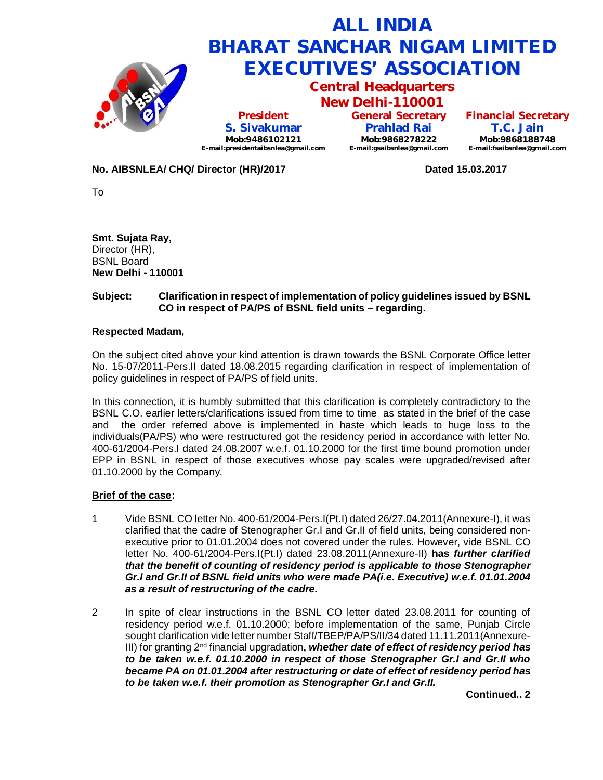

## **No. AIBSNLEA/ CHQ/ Director (HR)/2017 Dated 15.03.2017**

To

**Smt. Sujata Ray,** Director (HR), BSNL Board **New Delhi - 110001**

## **Subject: Clarification in respect of implementation of policy guidelines issued by BSNL CO in respect of PA/PS of BSNL field units – regarding.**

#### **Respected Madam,**

On the subject cited above your kind attention is drawn towards the BSNL Corporate Office letter No. 15-07/2011-Pers.II dated 18.08.2015 regarding clarification in respect of implementation of policy guidelines in respect of PA/PS of field units.

In this connection, it is humbly submitted that this clarification is completely contradictory to the BSNL C.O. earlier letters/clarifications issued from time to time as stated in the brief of the case and the order referred above is implemented in haste which leads to huge loss to the individuals(PA/PS) who were restructured got the residency period in accordance with letter No. 400-61/2004-Pers.I dated 24.08.2007 w.e.f. 01.10.2000 for the first time bound promotion under EPP in BSNL in respect of those executives whose pay scales were upgraded/revised after 01.10.2000 by the Company.

### **Brief of the case:**

- 1 Vide BSNL CO letter No. 400-61/2004-Pers.I(Pt.I) dated 26/27.04.2011(Annexure-I), it was clarified that the cadre of Stenographer Gr.I and Gr.II of field units, being considered nonexecutive prior to 01.01.2004 does not covered under the rules. However, vide BSNL CO letter No. 400-61/2004-Pers.I(Pt.I) dated 23.08.2011(Annexure-II) **has** *further clarified that the benefit of counting of residency period is applicable to those Stenographer Gr.I and Gr.II of BSNL field units who were made PA(i.e. Executive) w.e.f. 01.01.2004 as a result of restructuring of the cadre.*
- 2 In spite of clear instructions in the BSNL CO letter dated 23.08.2011 for counting of residency period w.e.f. 01.10.2000; before implementation of the same, Punjab Circle sought clarification vide letter number Staff/TBEP/PA/PS/II/34 dated 11.11.2011(Annexure-III) for granting 2nd financial upgradation**,** *whether date of effect of residency period has to be taken w.e.f. 01.10.2000 in respect of those Stenographer Gr.I and Gr.II who became PA on 01.01.2004 after restructuring or date of effect of residency period has to be taken w.e.f. their promotion as Stenographer Gr.I and Gr.II.*

**Continued.. 2**